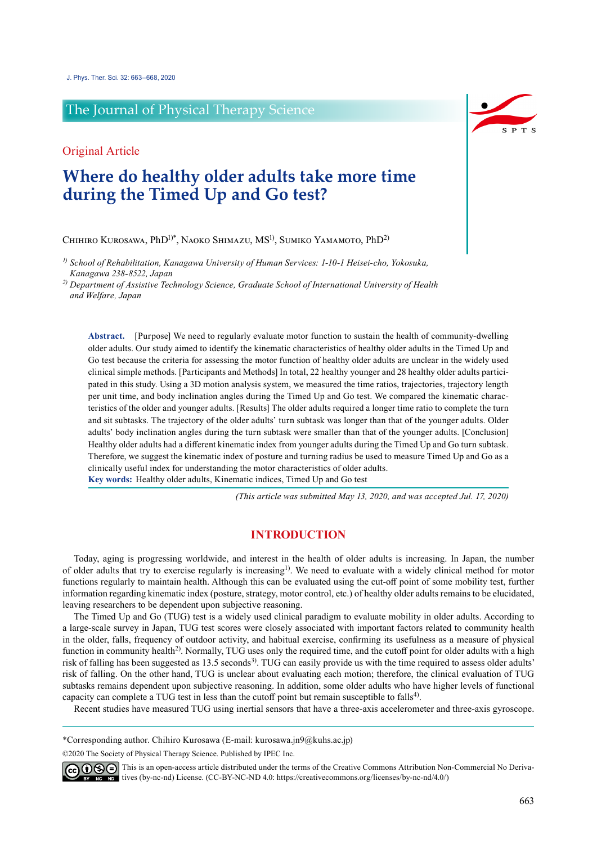## The Journal of Physical Therapy Science

Original Article

# **Where do healthy older adults take more time during the Timed Up and Go test?**

Chihiro Kurosawa, PhD1)\*, Naoko Shimazu, MS1), Sumiko Yamamoto, PhD2)

*1) School of Rehabilitation, Kanagawa University of Human Services: 1-10-1 Heisei-cho, Yokosuka, Kanagawa 238-8522, Japan*

*2) Department of Assistive Technology Science, Graduate School of International University of Health and Welfare, Japan*

**Abstract.** [Purpose] We need to regularly evaluate motor function to sustain the health of community-dwelling older adults. Our study aimed to identify the kinematic characteristics of healthy older adults in the Timed Up and Go test because the criteria for assessing the motor function of healthy older adults are unclear in the widely used clinical simple methods. [Participants and Methods] In total, 22 healthy younger and 28 healthy older adults participated in this study. Using a 3D motion analysis system, we measured the time ratios, trajectories, trajectory length per unit time, and body inclination angles during the Timed Up and Go test. We compared the kinematic characteristics of the older and younger adults. [Results] The older adults required a longer time ratio to complete the turn and sit subtasks. The trajectory of the older adults' turn subtask was longer than that of the younger adults. Older adults' body inclination angles during the turn subtask were smaller than that of the younger adults. [Conclusion] Healthy older adults had a different kinematic index from younger adults during the Timed Up and Go turn subtask. Therefore, we suggest the kinematic index of posture and turning radius be used to measure Timed Up and Go as a clinically useful index for understanding the motor characteristics of older adults. **Key words:** Healthy older adults, Kinematic indices, Timed Up and Go test

*(This article was submitted May 13, 2020, and was accepted Jul. 17, 2020)*

## **INTRODUCTION**

Today, aging is progressing worldwide, and interest in the health of older adults is increasing. In Japan, the number of older adults that try to exercise regularly is increasing<sup>[1](#page-5-0))</sup>. We need to evaluate with a widely clinical method for motor functions regularly to maintain health. Although this can be evaluated using the cut-off point of some mobility test, further information regarding kinematic index (posture, strategy, motor control, etc.) of healthy older adults remains to be elucidated, leaving researchers to be dependent upon subjective reasoning.

The Timed Up and Go (TUG) test is a widely used clinical paradigm to evaluate mobility in older adults. According to a large-scale survey in Japan, TUG test scores were closely associated with important factors related to community health in the older, falls, frequency of outdoor activity, and habitual exercise, confirming its usefulness as a measure of physical function in community health<sup>[2](#page-5-1)</sup>. Normally, TUG uses only the required time, and the cutoff point for older adults with a high risk of falling has been suggested as 13.5 seconds<sup>3</sup>). TUG can easily provide us with the time required to assess older adults' risk of falling. On the other hand, TUG is unclear about evaluating each motion; therefore, the clinical evaluation of TUG subtasks remains dependent upon subjective reasoning. In addition, some older adults who have higher levels of functional capacity can complete a TUG test in less than the cutoff point but remain susceptible to falls<sup>[4\)](#page-5-3)</sup>.

Recent studies have measured TUG using inertial sensors that have a three-axis accelerometer and three-axis gyroscope.

\*Corresponding author. Chihiro Kurosawa (E-mail: kurosawa.jn9@kuhs.ac.jp)

©2020 The Society of Physical Therapy Science. Published by IPEC Inc.

**COOO** This is an open-access article distributed under the terms of the Creative Commons Attribution Non-Commercial No Derivatives (by-nc-nd) License. (CC-BY-NC-ND 4.0:<https://creativecommons.org/licenses/by-nc-nd/4.0/>)

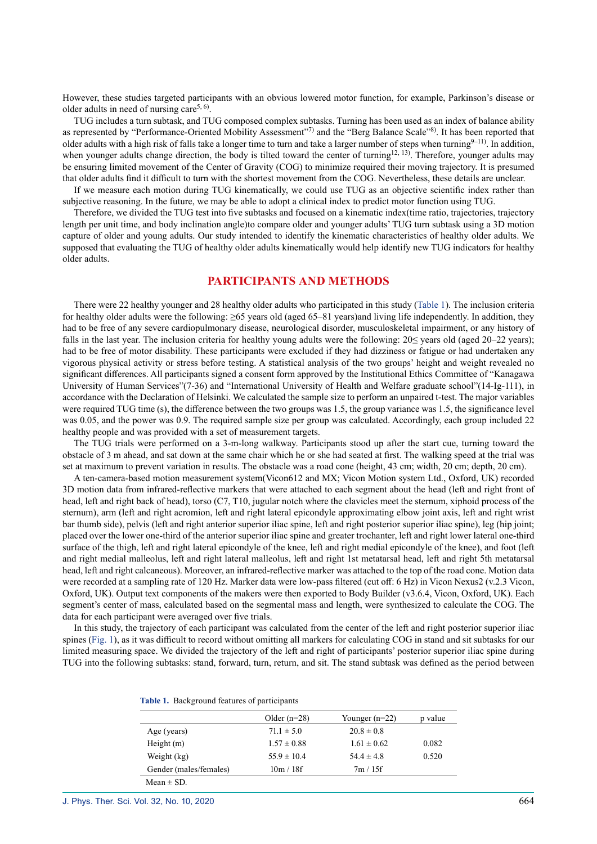However, these studies targeted participants with an obvious lowered motor function, for example, Parkinson's disease or older adults in need of nursing care<sup>5, 6</sup>.

TUG includes a turn subtask, and TUG composed complex subtasks. Turning has been used as an index of balance ability as represented by "Performance-Oriented Mobility Assessment"<sup>[7\)](#page-5-5)</sup> and the "Berg Balance Scale"<sup>[8\)](#page-5-6)</sup>. It has been reported that older adults with a high risk of falls take a longer time to turn and take a larger number of steps when turning $9-11$ ). In addition, when younger adults change direction, the body is tilted toward the center of turning<sup>12, 13</sup>). Therefore, younger adults may be ensuring limited movement of the Center of Gravity (COG) to minimize required their moving trajectory. It is presumed that older adults find it difficult to turn with the shortest movement from the COG. Nevertheless, these details are unclear.

If we measure each motion during TUG kinematically, we could use TUG as an objective scientific index rather than subjective reasoning. In the future, we may be able to adopt a clinical index to predict motor function using TUG.

Therefore, we divided the TUG test into five subtasks and focused on a kinematic index(time ratio, trajectories, trajectory length per unit time, and body inclination angle)to compare older and younger adults' TUG turn subtask using a 3D motion capture of older and young adults. Our study intended to identify the kinematic characteristics of healthy older adults. We supposed that evaluating the TUG of healthy older adults kinematically would help identify new TUG indicators for healthy older adults.

#### **PARTICIPANTS AND METHODS**

There were 22 healthy younger and 28 healthy older adults who participated in this study (Table 1). The inclusion criteria for healthy older adults were the following: ≥65 years old (aged 65–81 years)and living life independently. In addition, they had to be free of any severe cardiopulmonary disease, neurological disorder, musculoskeletal impairment, or any history of falls in the last year. The inclusion criteria for healthy young adults were the following: 20≤ years old (aged 20–22 years); had to be free of motor disability. These participants were excluded if they had dizziness or fatigue or had undertaken any vigorous physical activity or stress before testing. A statistical analysis of the two groups' height and weight revealed no significant differences. All participants signed a consent form approved by the Institutional Ethics Committee of "Kanagawa University of Human Services"(7-36) and "International University of Health and Welfare graduate school"(14-Ig-111), in accordance with the Declaration of Helsinki. We calculated the sample size to perform an unpaired t-test. The major variables were required TUG time (s), the difference between the two groups was 1.5, the group variance was 1.5, the significance level was 0.05, and the power was 0.9. The required sample size per group was calculated. Accordingly, each group included 22 healthy people and was provided with a set of measurement targets.

The TUG trials were performed on a 3-m-long walkway. Participants stood up after the start cue, turning toward the obstacle of 3 m ahead, and sat down at the same chair which he or she had seated at first. The walking speed at the trial was set at maximum to prevent variation in results. The obstacle was a road cone (height, 43 cm; width, 20 cm; depth, 20 cm).

A ten-camera-based motion measurement system(Vicon612 and MX; Vicon Motion system Ltd., Oxford, UK) recorded 3D motion data from infrared-reflective markers that were attached to each segment about the head (left and right front of head, left and right back of head), torso (C7, T10, jugular notch where the clavicles meet the sternum, xiphoid process of the sternum), arm (left and right acromion, left and right lateral epicondyle approximating elbow joint axis, left and right wrist bar thumb side), pelvis (left and right anterior superior iliac spine, left and right posterior superior iliac spine), leg (hip joint; placed over the lower one-third of the anterior superior iliac spine and greater trochanter, left and right lower lateral one-third surface of the thigh, left and right lateral epicondyle of the knee, left and right medial epicondyle of the knee), and foot (left and right medial malleolus, left and right lateral malleolus, left and right 1st metatarsal head, left and right 5th metatarsal head, left and right calcaneous). Moreover, an infrared-reflective marker was attached to the top of the road cone. Motion data were recorded at a sampling rate of 120 Hz. Marker data were low-pass filtered (cut off: 6 Hz) in Vicon Nexus2 (v.2.3 Vicon, Oxford, UK). Output text components of the makers were then exported to Body Builder (v3.6.4, Vicon, Oxford, UK). Each segment's center of mass, calculated based on the segmental mass and length, were synthesized to calculate the COG. The data for each participant were averaged over five trials.

In this study, the trajectory of each participant was calculated from the center of the left and right posterior superior iliac spines (Fig. 1), as it was difficult to record without omitting all markers for calculating COG in stand and sit subtasks for our limited measuring space. We divided the trajectory of the left and right of participants' posterior superior iliac spine during TUG into the following subtasks: stand, forward, turn, return, and sit. The stand subtask was defined as the period between

| Table 1. Background features of participants |  |  |  |  |
|----------------------------------------------|--|--|--|--|
|----------------------------------------------|--|--|--|--|

|                        | Older $(n=28)$  | Younger $(n=22)$ | p value |
|------------------------|-----------------|------------------|---------|
| Age (years)            | $71.1 \pm 5.0$  | $20.8 \pm 0.8$   |         |
| Height $(m)$           | $1.57 \pm 0.88$ | $1.61 \pm 0.62$  | 0.082   |
| Weight (kg)            | $55.9 \pm 10.4$ | $54.4 \pm 4.8$   | 0.520   |
| Gender (males/females) | 10m/18f         | 7m / 15f         |         |
| Mean $\pm$ SD.         |                 |                  |         |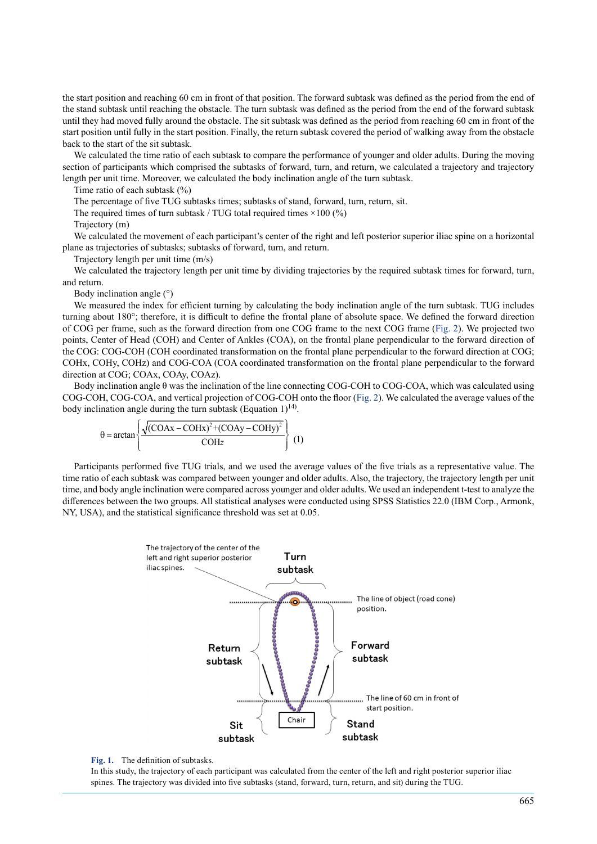the start position and reaching 60 cm in front of that position. The forward subtask was defined as the period from the end of the stand subtask until reaching the obstacle. The turn subtask was defined as the period from the end of the forward subtask until they had moved fully around the obstacle. The sit subtask was defined as the period from reaching 60 cm in front of the start position until fully in the start position. Finally, the return subtask covered the period of walking away from the obstacle back to the start of the sit subtask.

We calculated the time ratio of each subtask to compare the performance of younger and older adults. During the moving section of participants which comprised the subtasks of forward, turn, and return, we calculated a trajectory and trajectory length per unit time. Moreover, we calculated the body inclination angle of the turn subtask.

Time ratio of each subtask (%)

The percentage of five TUG subtasks times; subtasks of stand, forward, turn, return, sit.

The required times of turn subtask / TUG total required times  $\times 100$  (%)

Trajectory (m)

We calculated the movement of each participant's center of the right and left posterior superior iliac spine on a horizontal plane as trajectories of subtasks; subtasks of forward, turn, and return.

Trajectory length per unit time (m/s)

We calculated the trajectory length per unit time by dividing trajectories by the required subtask times for forward, turn, and return.

Body inclination angle (°)

We measured the index for efficient turning by calculating the body inclination angle of the turn subtask. TUG includes turning about 180°; therefore, it is difficult to define the frontal plane of absolute space. We defined the forward direction of COG per frame, such as the forward direction from one COG frame to the next COG frame (Fig. 2). We projected two points, Center of Head (COH) and Center of Ankles (COA), on the frontal plane perpendicular to the forward direction of the COG: COG-COH (COH coordinated transformation on the frontal plane perpendicular to the forward direction at COG; COHx, COHy, COHz) and COG-COA (COA coordinated transformation on the frontal plane perpendicular to the forward direction at COG; COAx, COAy, COAz).

Body inclination angle θ was the inclination of the line connecting COG-COH to COG-COA, which was calculated using COG-COH, COG-COA, and vertical projection of COG-COH onto the floor (Fig. 2). We calculated the average values of the body inclination angle during the turn subtask (Equation  $1$ )<sup>[14\)](#page-5-9)</sup>.

$$
\theta = \arctan\left\{\frac{\sqrt{(COAx - COHx)^2 + (COAy - COHy)^2}}{COHz}\right\}
$$
 (1)

Participants performed five TUG trials, and we used the average values of the five trials as a representative value. The time ratio of each subtask was compared between younger and older adults. Also, the trajectory, the trajectory length per unit time, and body angle inclination were compared across younger and older adults. We used an independent t-test to analyze the differences between the two groups. All statistical analyses were conducted using SPSS Statistics 22.0 (IBM Corp., Armonk, NY, USA), and the statistical significance threshold was set at 0.05.



#### **Fig. 1.** The definition of subtasks.

In this study, the trajectory of each participant was calculated from the center of the left and right posterior superior iliac spines. The trajectory was divided into five subtasks (stand, forward, turn, return, and sit) during the TUG.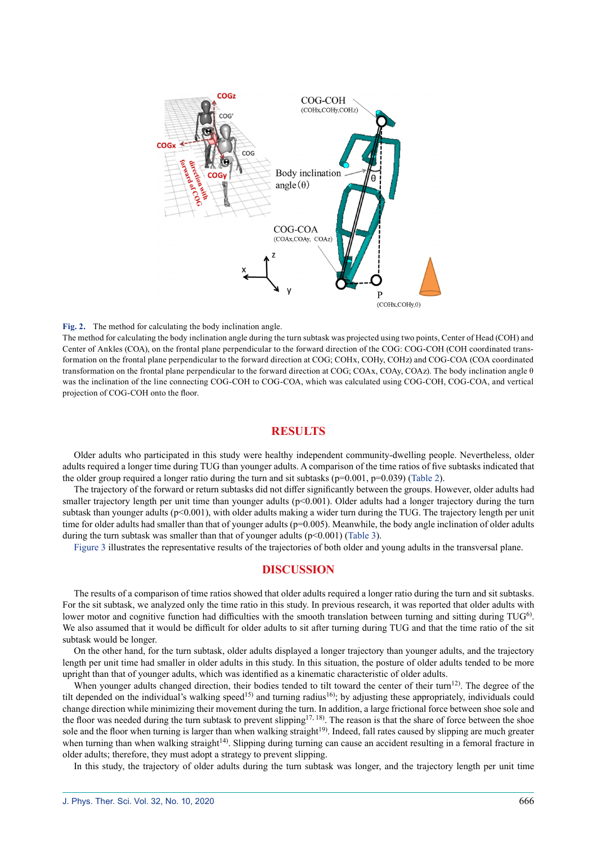

#### **Fig. 2.** The method for calculating the body inclination angle.

The method for calculating the body inclination angle during the turn subtask was projected using two points, Center of Head (COH) and Center of Ankles (COA), on the frontal plane perpendicular to the forward direction of the COG: COG-COH (COH coordinated transformation on the frontal plane perpendicular to the forward direction at COG; COHx, COHy, COHz) and COG-COA (COA coordinated transformation on the frontal plane perpendicular to the forward direction at COG; COAx, COAy, COAz). The body inclination angle θ was the inclination of the line connecting COG-COH to COG-COA, which was calculated using COG-COH, COG-COA, and vertical projection of COG-COH onto the floor.

### **RESULTS**

Older adults who participated in this study were healthy independent community-dwelling people. Nevertheless, older adults required a longer time during TUG than younger adults. A comparison of the time ratios of five subtasks indicated that the older group required a longer ratio during the turn and sit subtasks ( $p=0.001$ ,  $p=0.039$ ) (Table 2).

The trajectory of the forward or return subtasks did not differ significantly between the groups. However, older adults had smaller trajectory length per unit time than younger adults ( $p<0.001$ ). Older adults had a longer trajectory during the turn subtask than younger adults (p<0.001), with older adults making a wider turn during the TUG. The trajectory length per unit time for older adults had smaller than that of younger adults (p=0.005). Meanwhile, the body angle inclination of older adults during the turn subtask was smaller than that of younger adults  $(p<0.001)$  (Table 3).

Figure 3 illustrates the representative results of the trajectories of both older and young adults in the transversal plane.

#### **DISCUSSION**

The results of a comparison of time ratios showed that older adults required a longer ratio during the turn and sit subtasks. For the sit subtask, we analyzed only the time ratio in this study. In previous research, it was reported that older adults with lower motor and cognitive function had difficulties with the smooth translation between turning and sitting during TUG<sup>[6](#page-5-10)</sup>. We also assumed that it would be difficult for older adults to sit after turning during TUG and that the time ratio of the sit subtask would be longer.

On the other hand, for the turn subtask, older adults displayed a longer trajectory than younger adults, and the trajectory length per unit time had smaller in older adults in this study. In this situation, the posture of older adults tended to be more upright than that of younger adults, which was identified as a kinematic characteristic of older adults.

When younger adults changed direction, their bodies tended to tilt toward the center of their turn<sup>[12\)](#page-5-8)</sup>. The degree of the tilt depended on the individual's walking speed<sup>15</sup> and turning radius<sup>16</sup>; by adjusting these appropriately, individuals could change direction while minimizing their movement during the turn. In addition, a large frictional force between shoe sole and the floor was needed during the turn subtask to prevent slipping<sup>17, 18</sup>). The reason is that the share of force between the shoe sole and the floor when turning is larger than when walking straight<sup>[19](#page-5-14)</sup>. Indeed, fall rates caused by slipping are much greater when turning than when walking straight<sup>[14](#page-5-9))</sup>. Slipping during turning can cause an accident resulting in a femoral fracture in older adults; therefore, they must adopt a strategy to prevent slipping.

In this study, the trajectory of older adults during the turn subtask was longer, and the trajectory length per unit time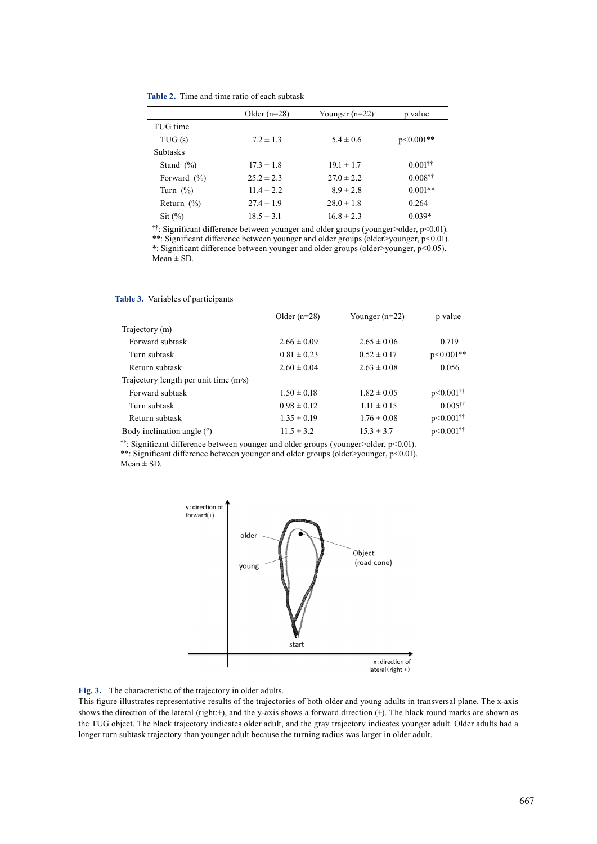|                    | Older $(n=28)$ | Younger $(n=22)$ | p value                  |
|--------------------|----------------|------------------|--------------------------|
| TUG time           |                |                  |                          |
| TUG(s)             | $7.2 \pm 1.3$  | $5.4 \pm 0.6$    | $p<0.001**$              |
| <b>Subtasks</b>    |                |                  |                          |
| Stand $(\% )$      | $17.3 \pm 1.8$ | $19.1 \pm 1.7$   | $0.001$ <sup>††</sup>    |
| Forward $(\% )$    | $25.2 \pm 2.3$ | $27.0 \pm 2.2$   | $0.008^{\dagger\dagger}$ |
| Turn $(\%)$        | $11.4 \pm 2.2$ | $8.9 \pm 2.8$    | $0.001**$                |
| Return $(\% )$     | $27.4 \pm 1.9$ | $28.0 \pm 1.8$   | 0.264                    |
| $\mathrm{Sit}(\%)$ | $18.5 \pm 3.1$ | $16.8 \pm 2.3$   | $0.039*$                 |

††: Significant difference between younger and older groups (younger>older, p<0.01).

\*\*: Significant difference between younger and older groups (older>younger, p<0.01). \*: Significant difference between younger and older groups (older>younger, p<0.05).  $Mean \pm SD$ .

|                                         | Older $(n=28)$  | Younger $(n=22)$ | p value                   |
|-----------------------------------------|-----------------|------------------|---------------------------|
| Trajectory (m)                          |                 |                  |                           |
| Forward subtask                         | $2.66 \pm 0.09$ | $2.65 \pm 0.06$  | 0.719                     |
| Turn subtask                            | $0.81 \pm 0.23$ | $0.52 \pm 0.17$  | $p<0.001**$               |
| Return subtask                          | $2.60 \pm 0.04$ | $2.63 \pm 0.08$  | 0.056                     |
| Trajectory length per unit time $(m/s)$ |                 |                  |                           |
| Forward subtask                         | $1.50 \pm 0.18$ | $1.82 \pm 0.05$  | $p<0.001$ <sup>††</sup>   |
| Turn subtask                            | $0.98 \pm 0.12$ | $1.11 \pm 0.15$  | $0.005$ <sup>††</sup>     |
| Return subtask                          | $1.35 \pm 0.19$ | $1.76 \pm 0.08$  | $p<0.001$ <sup>††</sup>   |
| Body inclination angle $(°)$            | $11.5 \pm 3.2$  | $15.3 \pm 3.7$   | $p < 0.001$ <sup>††</sup> |

**Table 3.** Variables of participants

††: Significant difference between younger and older groups (younger>older, p<0.01).

\*\*: Significant difference between younger and older groups (older>younger, p<0.01).  $Mean \pm SD$ .



**Fig. 3.** The characteristic of the trajectory in older adults.

This figure illustrates representative results of the trajectories of both older and young adults in transversal plane. The x-axis shows the direction of the lateral (right:+), and the y-axis shows a forward direction (+). The black round marks are shown as the TUG object. The black trajectory indicates older adult, and the gray trajectory indicates younger adult. Older adults had a longer turn subtask trajectory than younger adult because the turning radius was larger in older adult.